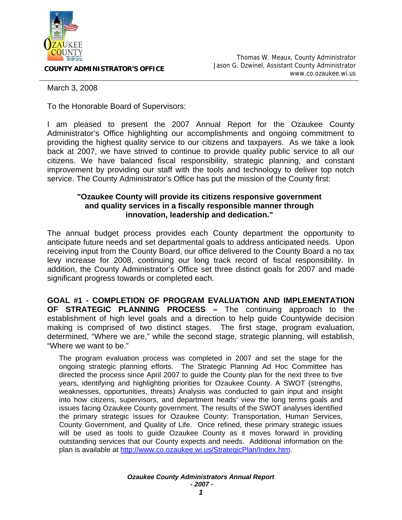

**COUNTY ADMINISTRATOR'S OFFICE**

March 3, 2008

To the Honorable Board of Supervisors:

I am pleased to present the 2007 Annual Report for the Ozaukee County Administrator's Office highlighting our accomplishments and ongoing commitment to providing the highest quality service to our citizens and taxpayers. As we take a look back at 2007, we have strived to continue to provide quality public service to all our citizens. We have balanced fiscal responsibility, strategic planning, and constant improvement by providing our staff with the tools and technology to deliver top notch service. The County Administrator's Office has put the mission of the County first:

## **"Ozaukee County will provide its citizens responsive government and quality services in a fiscally responsible manner through innovation, leadership and dedication."**

The annual budget process provides each County department the opportunity to anticipate future needs and set departmental goals to address anticipated needs. Upon receiving input from the County Board, our office delivered to the County Board a no tax levy increase for 2008, continuing our long track record of fiscal responsibility. In addition, the County Administrator's Office set three distinct goals for 2007 and made significant progress towards or completed each.

**GOAL #1 - COMPLETION OF PROGRAM EVALUATION AND IMPLEMENTATION OF STRATEGIC PLANNING PROCESS –** The continuing approach to the establishment of high level goals and a direction to help guide Countywide decision making is comprised of two distinct stages. The first stage, program evaluation, determined, "Where we are," while the second stage, strategic planning, will establish, "Where we want to be."

The program evaluation process was completed in 2007 and set the stage for the ongoing strategic planning efforts. The Strategic Planning Ad Hoc Committee has directed the process since April 2007 to guide the County plan for the next three to five years, identifying and highlighting priorities for Ozaukee County. A SWOT (strengths, weaknesses, opportunities, threats) Analysis was conducted to gain input and insight into how citizens, supervisors, and department heads' view the long terms goals and issues facing Ozaukee County government. The results of the SWOT analyses identified the primary strategic issues for Ozaukee County: Transportation, Human Services, County Government, and Quality of Life. Once refined, these primary strategic issues will be used as tools to guide Ozaukee County as it moves forward in providing outstanding services that our County expects and needs. Additional information on the plan is available at http://www.co.ozaukee.wi.us/StrategicPlan/Index.htm.

> *Ozaukee County Administrators Annual Report - 2007 -*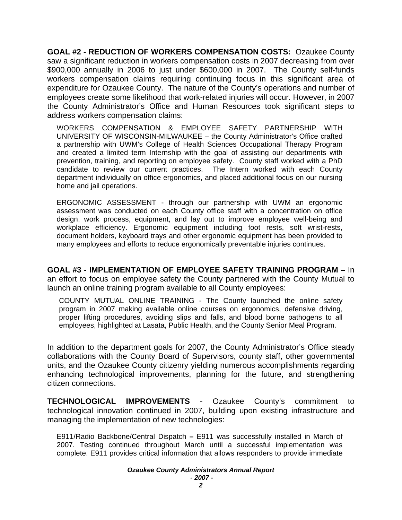**GOAL #2 - REDUCTION OF WORKERS COMPENSATION COSTS:** Ozaukee County saw a significant reduction in workers compensation costs in 2007 decreasing from over \$900,000 annually in 2006 to just under \$600,000 in 2007. The County self-funds workers compensation claims requiring continuing focus in this significant area of expenditure for Ozaukee County. The nature of the County's operations and number of employees create some likelihood that work-related injuries will occur. However, in 2007 the County Administrator's Office and Human Resources took significant steps to address workers compensation claims:

WORKERS COMPENSATION & EMPLOYEE SAFETY PARTNERSHIP WITH UNIVERSITY OF WISCONSIN-MILWAUKEE – the County Administrator's Office crafted a partnership with UWM's College of Health Sciences Occupational Therapy Program and created a limited term Internship with the goal of assisting our departments with prevention, training, and reporting on employee safety. County staff worked with a PhD candidate to review our current practices. The Intern worked with each County department individually on office ergonomics, and placed additional focus on our nursing home and jail operations.

ERGONOMIC ASSESSMENT - through our partnership with UWM an ergonomic assessment was conducted on each County office staff with a concentration on office design, work process, equipment, and lay out to improve employee well-being and workplace efficiency. Ergonomic equipment including foot rests, soft wrist-rests, document holders, keyboard trays and other ergonomic equipment has been provided to many employees and efforts to reduce ergonomically preventable injuries continues.

**GOAL #3 - IMPLEMENTATION OF EMPLOYEE SAFETY TRAINING PROGRAM –** In an effort to focus on employee safety the County partnered with the County Mutual to launch an online training program available to all County employees:

COUNTY MUTUAL ONLINE TRAINING - The County launched the online safety program in 2007 making available online courses on ergonomics, defensive driving, proper lifting procedures, avoiding slips and falls, and blood borne pathogens to all employees, highlighted at Lasata, Public Health, and the County Senior Meal Program.

In addition to the department goals for 2007, the County Administrator's Office steady collaborations with the County Board of Supervisors, county staff, other governmental units, and the Ozaukee County citizenry yielding numerous accomplishments regarding enhancing technological improvements, planning for the future, and strengthening citizen connections.

**TECHNOLOGICAL IMPROVEMENTS** - Ozaukee County's commitment to technological innovation continued in 2007, building upon existing infrastructure and managing the implementation of new technologies:

E911/Radio Backbone/Central Dispatch **–** E911 was successfully installed in March of 2007. Testing continued throughout March until a successful implementation was complete. E911 provides critical information that allows responders to provide immediate

## *Ozaukee County Administrators Annual Report - 2007 -*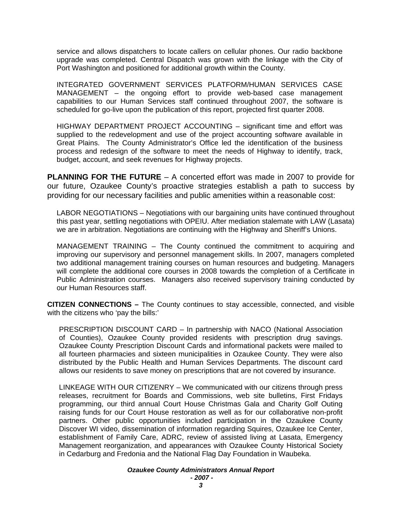service and allows dispatchers to locate callers on cellular phones. Our radio backbone upgrade was completed. Central Dispatch was grown with the linkage with the City of Port Washington and positioned for additional growth within the County.

INTEGRATED GOVERNMENT SERVICES PLATFORM/HUMAN SERVICES CASE MANAGEMENT – the ongoing effort to provide web-based case management capabilities to our Human Services staff continued throughout 2007, the software is scheduled for go-live upon the publication of this report, projected first quarter 2008.

HIGHWAY DEPARTMENT PROJECT ACCOUNTING – significant time and effort was supplied to the redevelopment and use of the project accounting software available in Great Plains. The County Administrator's Office led the identification of the business process and redesign of the software to meet the needs of Highway to identify, track, budget, account, and seek revenues for Highway projects.

**PLANNING FOR THE FUTURE** – A concerted effort was made in 2007 to provide for our future, Ozaukee County's proactive strategies establish a path to success by providing for our necessary facilities and public amenities within a reasonable cost:

LABOR NEGOTIATIONS – Negotiations with our bargaining units have continued throughout this past year, settling negotiations with OPEIU. After mediation stalemate with LAW (Lasata) we are in arbitration. Negotiations are continuing with the Highway and Sheriff's Unions.

MANAGEMENT TRAINING – The County continued the commitment to acquiring and improving our supervisory and personnel management skills. In 2007, managers completed two additional management training courses on human resources and budgeting. Managers will complete the additional core courses in 2008 towards the completion of a Certificate in Public Administration courses. Managers also received supervisory training conducted by our Human Resources staff.

**CITIZEN CONNECTIONS –** The County continues to stay accessible, connected, and visible with the citizens who 'pay the bills:'

PRESCRIPTION DISCOUNT CARD – In partnership with NACO (National Association of Counties), Ozaukee County provided residents with prescription drug savings. Ozaukee County Prescription Discount Cards and informational packets were mailed to all fourteen pharmacies and sixteen municipalities in Ozaukee County. They were also distributed by the Public Health and Human Services Departments. The discount card allows our residents to save money on prescriptions that are not covered by insurance.

LINKEAGE WITH OUR CITIZENRY – We communicated with our citizens through press releases, recruitment for Boards and Commissions, web site bulletins, First Fridays programming, our third annual Court House Christmas Gala and Charity Golf Outing raising funds for our Court House restoration as well as for our collaborative non-profit partners. Other public opportunities included participation in the Ozaukee County Discover WI video, dissemination of information regarding Squires, Ozaukee Ice Center, establishment of Family Care, ADRC, review of assisted living at Lasata, Emergency Management reorganization, and appearances with Ozaukee County Historical Society in Cedarburg and Fredonia and the National Flag Day Foundation in Waubeka.

> *Ozaukee County Administrators Annual Report - 2007 -*